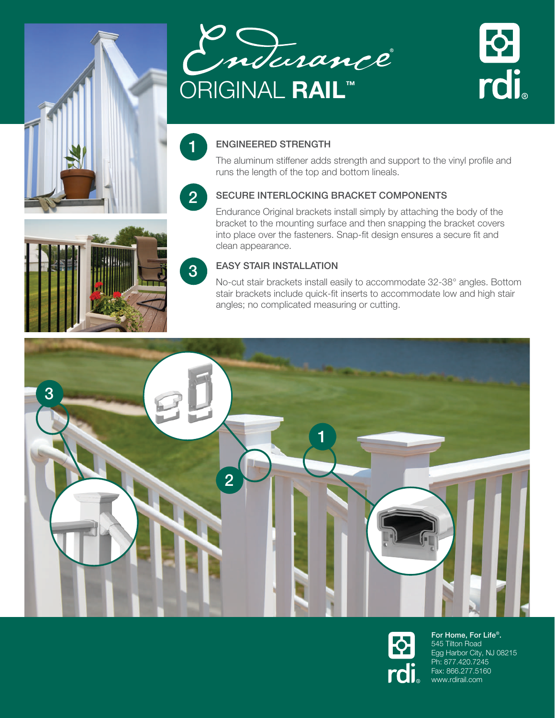





### ENGINEERED STRENGTH

The aluminum stiffener adds strength and support to the vinyl profile and runs the length of the top and bottom lineals.

## 2

1

3

### SECURE INTERLOCKING BRACKET COMPONENTS

Endurance Original brackets install simply by attaching the body of the bracket to the mounting surface and then snapping the bracket covers into place over the fasteners. Snap-fit design ensures a secure fit and clean appearance.

### EASY STAIR INSTALLATION

No-cut stair brackets install easily to accommodate 32-38° angles. Bottom stair brackets include quick-fit inserts to accommodate low and high stair angles; no complicated measuring or cutting.





For Home, For Life®. 545 Tilton Road Egg Harbor City, NJ 08215 Ph: 877.420.7245 Fax: 866.277.5160 www.rdirail.com